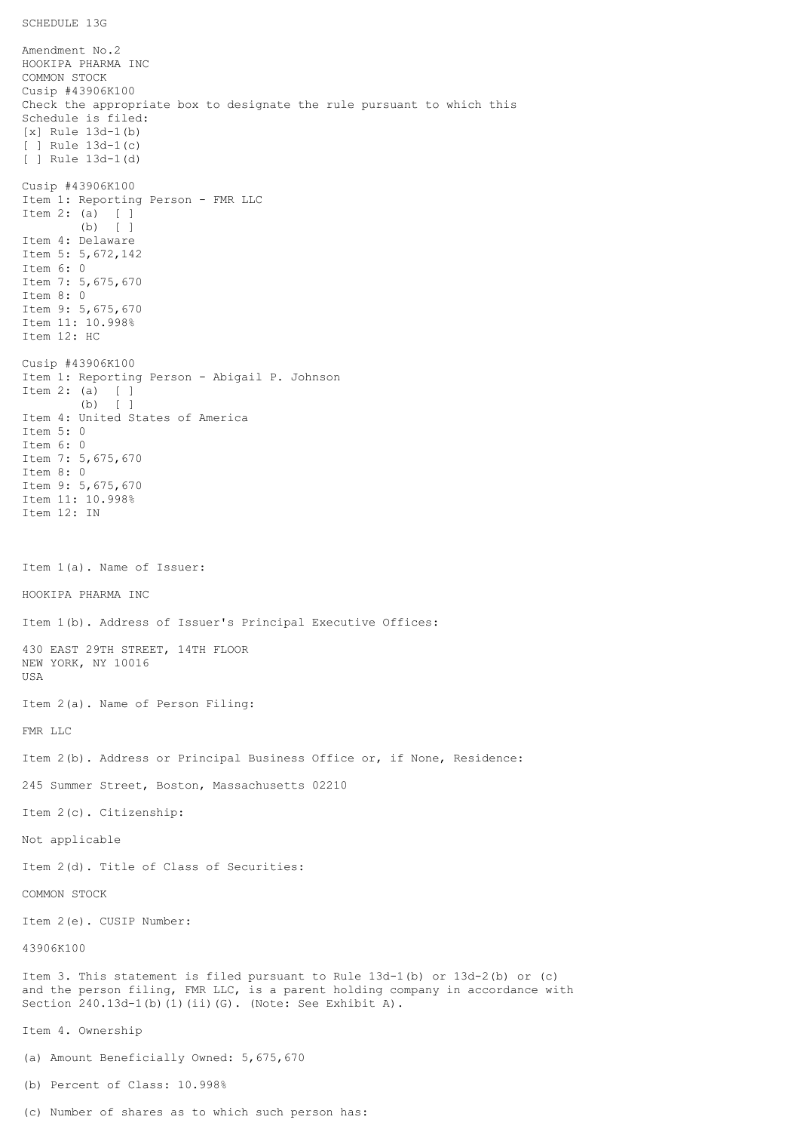```
SCHEDULE 13G
```
Amendment No.2 HOOKIPA PHARMA INC COMMON STOCK Cusip #43906K100 Check the appropriate box to designate the rule pursuant to which this Schedule is filed: [x] Rule 13d-1(b) [ ] Rule 13d-1(c) [ ] Rule 13d-1(d) Cusip #43906K100 Item 1: Reporting Person - FMR LLC Item 2: (a) [ ] (b) [ ] Item 4: Delaware Item 5: 5,672,142 Item 6: 0 Item 7: 5,675,670 Item 8: 0 Item 9: 5,675,670 Item 11: 10.998% Item 12: HC Cusip #43906K100 Item 1: Reporting Person - Abigail P. Johnson Item 2: (a) [ ] (b) [ ] Item 4: United States of America Item 5: 0 Item 6: 0 Item 7: 5,675,670 Item 8: 0 Item 9: 5,675,670 Item 11: 10.998% Item 12: IN Item 1(a). Name of Issuer: HOOKIPA PHARMA INC Item 1(b). Address of Issuer's Principal Executive Offices: 430 EAST 29TH STREET, 14TH FLOOR NEW YORK, NY 10016 USA Item 2(a). Name of Person Filing: FMR LLC Item 2(b). Address or Principal Business Office or, if None, Residence: 245 Summer Street, Boston, Massachusetts 02210 Item 2(c). Citizenship: Not applicable Item 2(d). Title of Class of Securities: COMMON STOCK Item 2(e). CUSIP Number: 43906K100 Item 3. This statement is filed pursuant to Rule 13d-1(b) or 13d-2(b) or (c) and the person filing, FMR LLC, is a parent holding company in accordance with Section 240.13d-1(b)(1)(ii)(G). (Note: See Exhibit A). Item 4. Ownership (a) Amount Beneficially Owned: 5,675,670 (b) Percent of Class: 10.998%

(c) Number of shares as to which such person has: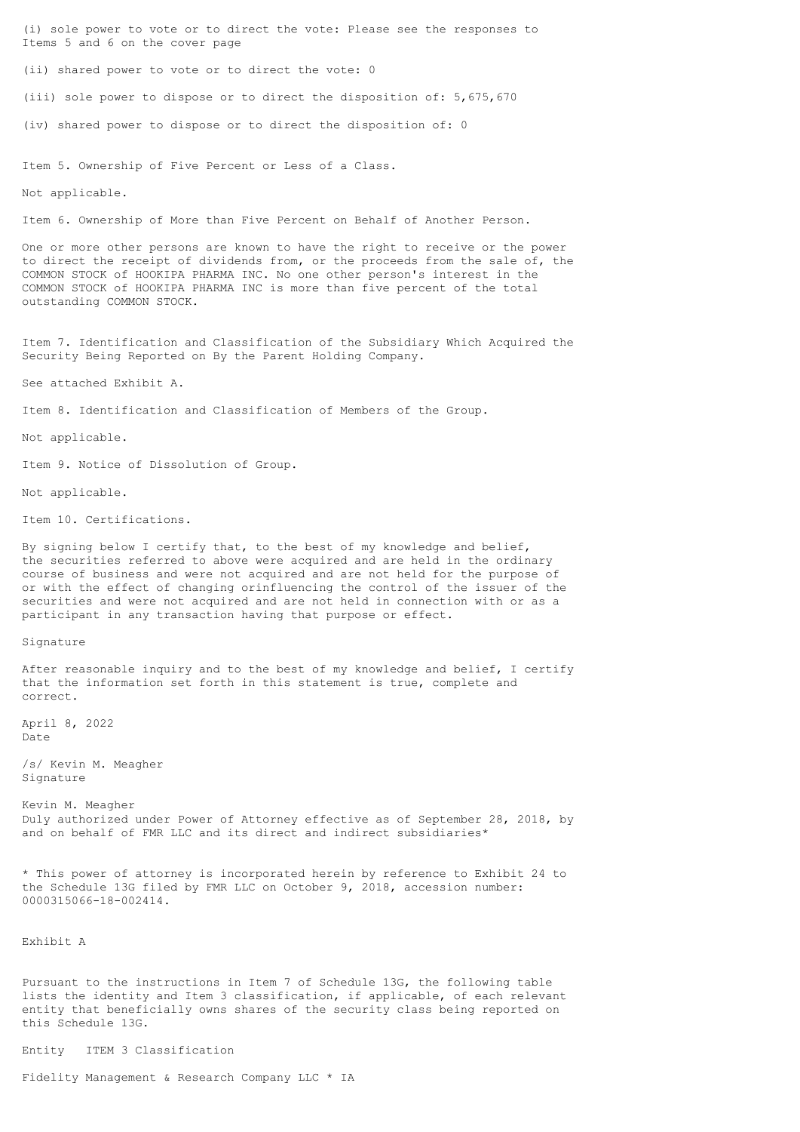(i) sole power to vote or to direct the vote: Please see the responses to Items 5 and 6 on the cover page

(ii) shared power to vote or to direct the vote: 0

(iii) sole power to dispose or to direct the disposition of: 5,675,670

(iv) shared power to dispose or to direct the disposition of: 0

Item 5. Ownership of Five Percent or Less of a Class.

Not applicable.

Item 6. Ownership of More than Five Percent on Behalf of Another Person.

One or more other persons are known to have the right to receive or the power to direct the receipt of dividends from, or the proceeds from the sale of, the COMMON STOCK of HOOKIPA PHARMA INC. No one other person's interest in the COMMON STOCK of HOOKIPA PHARMA INC is more than five percent of the total outstanding COMMON STOCK.

Item 7. Identification and Classification of the Subsidiary Which Acquired the Security Being Reported on By the Parent Holding Company.

See attached Exhibit A.

Item 8. Identification and Classification of Members of the Group.

Not applicable.

Item 9. Notice of Dissolution of Group.

Not applicable.

Item 10. Certifications.

By signing below I certify that, to the best of my knowledge and belief, the securities referred to above were acquired and are held in the ordinary course of business and were not acquired and are not held for the purpose of or with the effect of changing orinfluencing the control of the issuer of the securities and were not acquired and are not held in connection with or as a participant in any transaction having that purpose or effect.

Signature

After reasonable inquiry and to the best of my knowledge and belief, I certify that the information set forth in this statement is true, complete and correct.

April 8, 2022 Date

/s/ Kevin M. Meagher Signature

Kevin M. Meagher Duly authorized under Power of Attorney effective as of September 28, 2018, by and on behalf of FMR LLC and its direct and indirect subsidiaries\*

\* This power of attorney is incorporated herein by reference to Exhibit 24 to the Schedule 13G filed by FMR LLC on October 9, 2018, accession number: 0000315066-18-002414.

Exhibit A

Pursuant to the instructions in Item 7 of Schedule 13G, the following table lists the identity and Item 3 classification, if applicable, of each relevant entity that beneficially owns shares of the security class being reported on this Schedule 13G.

Entity ITEM 3 Classification

Fidelity Management & Research Company LLC \* IA